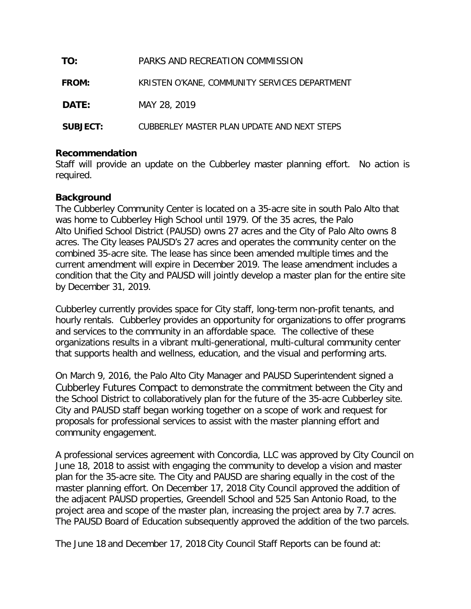| TO:             | PARKS AND RECREATION COMMISSION               |  |  |
|-----------------|-----------------------------------------------|--|--|
| <b>FROM:</b>    | KRISTEN O'KANE, COMMUNITY SERVICES DEPARTMENT |  |  |
| DATE:           | MAY 28, 2019                                  |  |  |
| <b>SUBJECT:</b> | CUBBERLEY MASTER PLAN UPDATE AND NEXT STEPS   |  |  |

### **Recommendation**

Staff will provide an update on the Cubberley master planning effort. No action is required.

## **Background**

The Cubberley Community Center is located on a 35-acre site in south Palo Alto that was home to Cubberley High School until 1979. Of the 35 acres, the Palo Alto Unified School District (PAUSD) owns 27 acres and the City of Palo Alto owns 8 acres. The City leases PAUSD's 27 acres and operates the community center on the combined 35-acre site. The lease has since been amended multiple times and the current amendment will expire in December 2019. The lease amendment includes a condition that the City and PAUSD will jointly develop a master plan for the entire site by December 31, 2019.

Cubberley currently provides space for City staff, long-term non-profit tenants, and hourly rentals. Cubberley provides an opportunity for organizations to offer programs and services to the community in an affordable space. The collective of these organizations results in a vibrant multi-generational, multi-cultural community center that supports health and wellness, education, and the visual and performing arts.

On March 9, 2016, the Palo Alto City Manager and PAUSD Superintendent signed a Cubberley Futures Compact to demonstrate the commitment between the City and the School District to collaboratively plan for the future of the 35-acre Cubberley site. City and PAUSD staff began working together on a scope of work and request for proposals for professional services to assist with the master planning effort and community engagement.

A professional services agreement with Concordia, LLC was approved by City Council on June 18, 2018 to assist with engaging the community to develop a vision and master plan for the 35-acre site. The City and PAUSD are sharing equally in the cost of the master planning effort. On December 17, 2018 City Council approved the addition of the adjacent PAUSD properties, Greendell School and 525 San Antonio Road, to the project area and scope of the master plan, increasing the project area by 7.7 acres. The PAUSD Board of Education subsequently approved the addition of the two parcels.

The June 18 and December 17, 2018 City Council Staff Reports can be found at: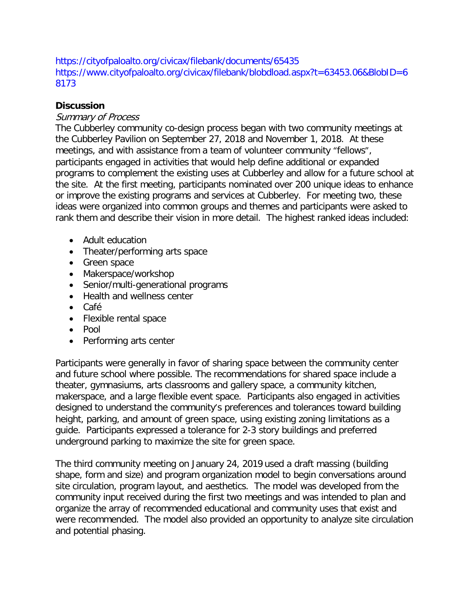https://cityofpaloalto.org/civicax/filebank/documents/65435 https://www.cityofpaloalto.org/civicax/filebank/blobdload.aspx?t=63453.06&BlobID=6 8173

## **Discussion**

# Summary of Process

The Cubberley community co-design process began with two community meetings at the Cubberley Pavilion on September 27, 2018 and November 1, 2018. At these meetings, and with assistance from a team of volunteer community "fellows", participants engaged in activities that would help define additional or expanded programs to complement the existing uses at Cubberley and allow for a future school at the site. At the first meeting, participants nominated over 200 unique ideas to enhance or improve the existing programs and services at Cubberley. For meeting two, these ideas were organized into common groups and themes and participants were asked to rank them and describe their vision in more detail. The highest ranked ideas included:

- Adult education
- Theater/performing arts space
- Green space
- Makerspace/workshop
- Senior/multi-generational programs
- Health and wellness center
- Café
- Flexible rental space
- Pool
- Performing arts center

Participants were generally in favor of sharing space between the community center and future school where possible. The recommendations for shared space include a theater, gymnasiums, arts classrooms and gallery space, a community kitchen, makerspace, and a large flexible event space. Participants also engaged in activities designed to understand the community's preferences and tolerances toward building height, parking, and amount of green space, using existing zoning limitations as a guide. Participants expressed a tolerance for 2-3 story buildings and preferred underground parking to maximize the site for green space.

The third community meeting on January 24, 2019 used a draft massing (building shape, form and size) and program organization model to begin conversations around site circulation, program layout, and aesthetics. The model was developed from the community input received during the first two meetings and was intended to plan and organize the array of recommended educational and community uses that exist and were recommended. The model also provided an opportunity to analyze site circulation and potential phasing.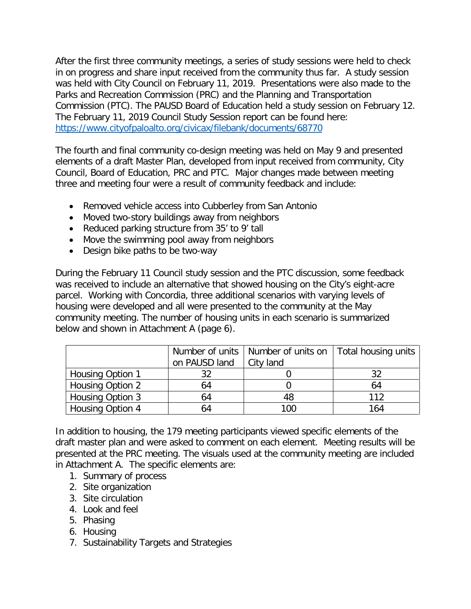After the first three community meetings, a series of study sessions were held to check in on progress and share input received from the community thus far. A study session was held with City Council on February 11, 2019. Presentations were also made to the Parks and Recreation Commission (PRC) and the Planning and Transportation Commission (PTC). The PAUSD Board of Education held a study session on February 12. The February 11, 2019 Council Study Session report can be found here: <https://www.cityofpaloalto.org/civicax/filebank/documents/68770>

The fourth and final community co-design meeting was held on May 9 and presented elements of a draft Master Plan, developed from input received from community, City Council, Board of Education, PRC and PTC. Major changes made between meeting three and meeting four were a result of community feedback and include:

- Removed vehicle access into Cubberley from San Antonio
- Moved two-story buildings away from neighbors
- Reduced parking structure from 35' to 9' tall
- Move the swimming pool away from neighbors
- Design bike paths to be two-way

During the February 11 Council study session and the PTC discussion, some feedback was received to include an alternative that showed housing on the City's eight-acre parcel. Working with Concordia, three additional scenarios with varying levels of housing were developed and all were presented to the community at the May community meeting. The number of housing units in each scenario is summarized below and shown in Attachment A (page 6).

|                  |               | Number of units   Number of units on   Total housing units |     |
|------------------|---------------|------------------------------------------------------------|-----|
|                  | on PAUSD land | City land                                                  |     |
| Housing Option 1 | 32.           |                                                            |     |
| Housing Option 2 | 64            |                                                            | 64  |
| Housing Option 3 | 64            | 48                                                         | 112 |
| Housing Option 4 | 64            | 100                                                        | 164 |

In addition to housing, the 179 meeting participants viewed specific elements of the draft master plan and were asked to comment on each element. Meeting results will be presented at the PRC meeting. The visuals used at the community meeting are included in Attachment A. The specific elements are:

- 1. Summary of process
- 2. Site organization
- 3. Site circulation
- 4. Look and feel
- 5. Phasing
- 6. Housing
- 7. Sustainability Targets and Strategies